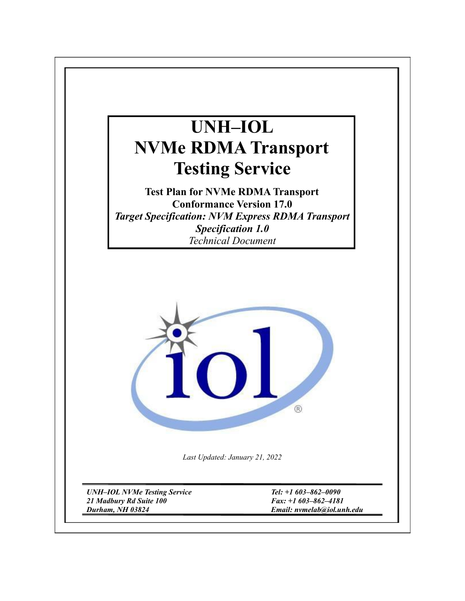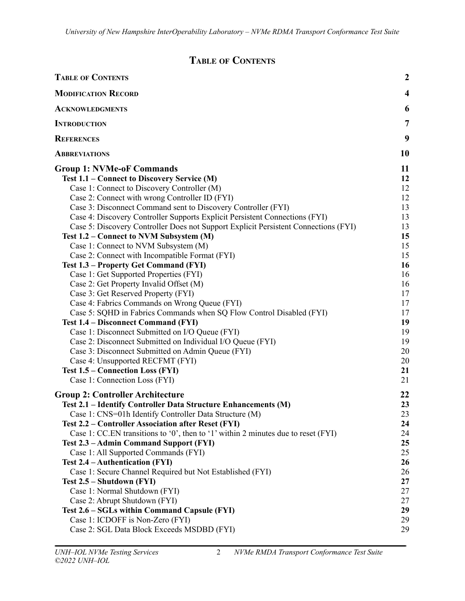# **TABLE OF CONTENTS**

<span id="page-1-0"></span>

| <b>TABLE OF CONTENTS</b>                                                            | $\boldsymbol{2}$        |  |
|-------------------------------------------------------------------------------------|-------------------------|--|
| <b>MODIFICATION RECORD</b>                                                          | $\overline{\mathbf{4}}$ |  |
| <b>ACKNOWLEDGMENTS</b>                                                              | 6                       |  |
| <b>INTRODUCTION</b>                                                                 | 7                       |  |
| <b>REFERENCES</b>                                                                   | 9                       |  |
| <b>ABBREVIATIONS</b>                                                                | <b>10</b>               |  |
| <b>Group 1: NVMe-oF Commands</b>                                                    | 11                      |  |
| Test 1.1 – Connect to Discovery Service (M)                                         | 12                      |  |
| Case 1: Connect to Discovery Controller (M)                                         | 12                      |  |
| Case 2: Connect with wrong Controller ID (FYI)                                      | 12                      |  |
| Case 3: Disconnect Command sent to Discovery Controller (FYI)                       | 13                      |  |
| Case 4: Discovery Controller Supports Explicit Persistent Connections (FYI)         | 13                      |  |
| Case 5: Discovery Controller Does not Support Explicit Persistent Connections (FYI) | 13                      |  |
| Test 1.2 – Connect to NVM Subsystem (M)                                             | 15                      |  |
| Case 1: Connect to NVM Subsystem (M)                                                | 15                      |  |
| Case 2: Connect with Incompatible Format (FYI)                                      | 15                      |  |
| Test 1.3 – Property Get Command (FYI)                                               | 16                      |  |
| Case 1: Get Supported Properties (FYI)                                              | 16                      |  |
| Case 2: Get Property Invalid Offset (M)                                             | 16                      |  |
| Case 3: Get Reserved Property (FYI)                                                 | 17                      |  |
| Case 4: Fabrics Commands on Wrong Queue (FYI)                                       | 17                      |  |
| Case 5: SQHD in Fabrics Commands when SQ Flow Control Disabled (FYI)                | 17                      |  |
| <b>Test 1.4 – Disconnect Command (FYI)</b>                                          | 19                      |  |
| Case 1: Disconnect Submitted on I/O Queue (FYI)                                     | 19                      |  |
| Case 2: Disconnect Submitted on Individual I/O Queue (FYI)                          | 19<br>20                |  |
| Case 3: Disconnect Submitted on Admin Queue (FYI)                                   |                         |  |
| Case 4: Unsupported RECFMT (FYI)                                                    |                         |  |
| Test 1.5 – Connection Loss (FYI)                                                    | 21                      |  |
| Case 1: Connection Loss (FYI)                                                       | 21                      |  |
| <b>Group 2: Controller Architecture</b>                                             | 22                      |  |
| Test 2.1 - Identify Controller Data Structure Enhancements (M)                      | 23                      |  |
| Case 1: CNS=01h Identify Controller Data Structure (M)                              | 23                      |  |
| Test 2.2 – Controller Association after Reset (FYI)                                 | 24                      |  |
| Case 1: CC.EN transitions to '0', then to '1' within 2 minutes due to reset (FYI)   | 24                      |  |
| Test 2.3 - Admin Command Support (FYI)                                              | 25                      |  |
| Case 1: All Supported Commands (FYI)                                                | 25                      |  |
| Test 2.4 - Authentication (FYI)                                                     | 26                      |  |
| Case 1: Secure Channel Required but Not Established (FYI)                           | 26                      |  |
| Test 2.5 – Shutdown (FYI)                                                           | 27                      |  |
| Case 1: Normal Shutdown (FYI)                                                       | 27                      |  |
| Case 2: Abrupt Shutdown (FYI)                                                       | 27                      |  |
| Test 2.6 - SGLs within Command Capsule (FYI)                                        | 29                      |  |
| Case 1: ICDOFF is Non-Zero (FYI)                                                    | 29                      |  |
| Case 2: SGL Data Block Exceeds MSDBD (FYI)                                          | 29                      |  |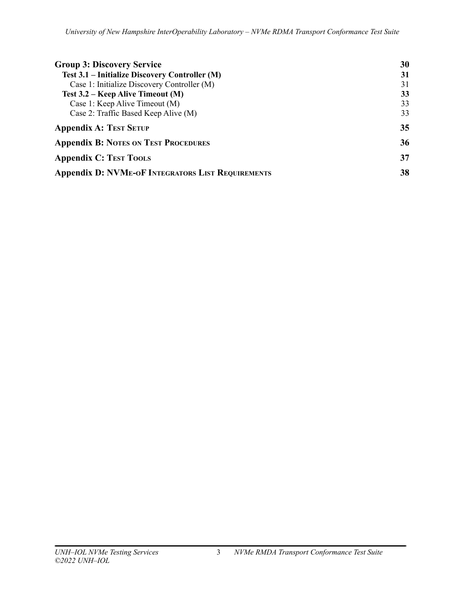| <b>Group 3: Discovery Service</b>                        | 30 |
|----------------------------------------------------------|----|
| Test 3.1 – Initialize Discovery Controller (M)           | 31 |
| Case 1: Initialize Discovery Controller (M)              | 31 |
| Test 3.2 – Keep Alive Timeout (M)                        | 33 |
| Case 1: Keep Alive Timeout (M)                           | 33 |
| Case 2: Traffic Based Keep Alive (M)                     | 33 |
| <b>Appendix A: TEST SETUP</b>                            | 35 |
| <b>Appendix B: NOTES ON TEST PROCEDURES</b>              | 36 |
| <b>Appendix C: TEST TOOLS</b>                            | 37 |
| <b>Appendix D: NVME-OF INTEGRATORS LIST REQUIREMENTS</b> | 38 |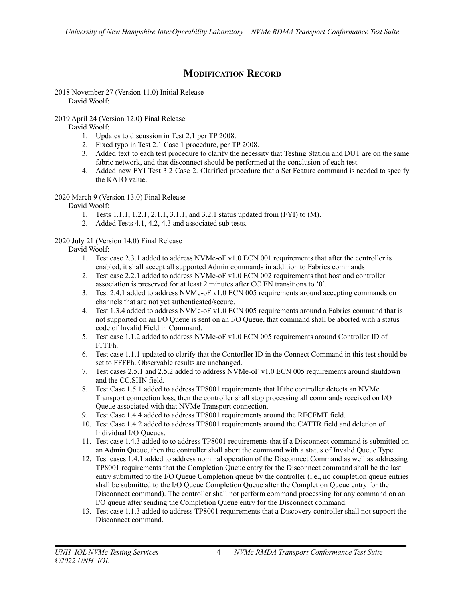# **MODIFICATION RECORD**

<span id="page-3-0"></span>2018 November 27 (Version 11.0) Initial Release David Woolf:

2019 April 24 (Version 12.0) Final Release

David Woolf:

- 1. Updates to discussion in Test 2.1 per TP 2008.
- 2. Fixed typo in Test 2.1 Case 1 procedure, per TP 2008.
- 3. Added text to each test procedure to clarify the necessity that Testing Station and DUT are on the same fabric network, and that disconnect should be performed at the conclusion of each test.
- 4. Added new FYI Test 3.2 Case 2. Clarified procedure that a Set Feature command is needed to specify the KATO value.

## 2020 March 9 (Version 13.0) Final Release

David Woolf:

- 1. Tests 1.1.1, 1.2.1, 2.1.1, 3.1.1, and 3.2.1 status updated from (FYI) to (M).
- 2. Added Tests 4.1, 4.2, 4.3 and associated sub tests.

## 2020 July 21 (Version 14.0) Final Release

David Woolf:

- 1. Test case 2.3.1 added to address NVMe-oF v1.0 ECN 001 requirements that after the controller is enabled, it shall accept all supported Admin commands in addition to Fabrics commands
- 2. Test case 2.2.1 added to address NVMe-oF v1.0 ECN 002 requirements that host and controller association is preserved for at least 2 minutes after CC.EN transitions to '0'.
- 3. Test 2.4.1 added to address NVMe-oF v1.0 ECN 005 requirements around accepting commands on channels that are not yet authenticated/secure.
- 4. Test 1.3.4 added to address NVMe-oF v1.0 ECN 005 requirements around a Fabrics command that is not supported on an I/O Queue is sent on an I/O Queue, that command shall be aborted with a status code of Invalid Field in Command.
- 5. Test case 1.1.2 added to address NVMe-oF v1.0 ECN 005 requirements around Controller ID of FFFFh.
- 6. Test case 1.1.1 updated to clarify that the Contorller ID in the Connect Command in this test should be set to FFFFh. Observable results are unchanged.
- 7. Test cases 2.5.1 and 2.5.2 added to address NVMe-oF v1.0 ECN 005 requirements around shutdown and the CC.SHN field.
- 8. Test Case 1.5.1 added to address TP8001 requirements that If the controller detects an NVMe Transport connection loss, then the controller shall stop processing all commands received on I/O Queue associated with that NVMe Transport connection.
- 9. Test Case 1.4.4 added to address TP8001 requirements around the RECFMT field.
- 10. Test Case 1.4.2 added to address TP8001 requirements around the CATTR field and deletion of Individual I/O Queues.
- 11. Test case 1.4.3 added to to address TP8001 requirements that if a Disconnect command is submitted on an Admin Queue, then the controller shall abort the command with a status of Invalid Queue Type.
- 12. Test cases 1.4.1 added to address nominal operation of the Disconnect Command as well as addressing TP8001 requirements that the Completion Queue entry for the Disconnect command shall be the last entry submitted to the I/O Queue Completion queue by the controller (i.e., no completion queue entries shall be submitted to the I/O Queue Completion Queue after the Completion Queue entry for the Disconnect command). The controller shall not perform command processing for any command on an I/O queue after sending the Completion Queue entry for the Disconnect command.
- 13. Test case 1.1.3 added to address TP8001 requirements that a Discovery controller shall not support the Disconnect command.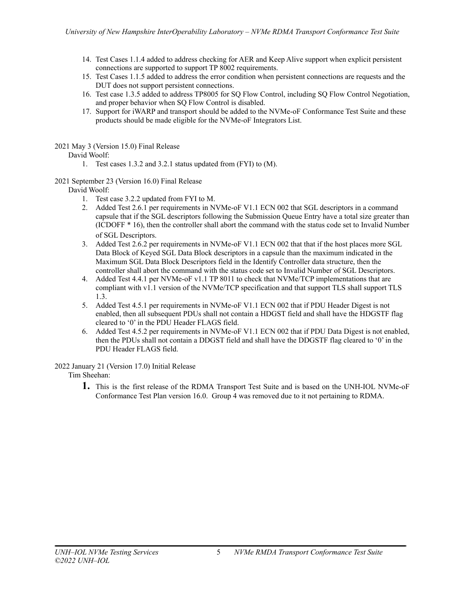- 14. Test Cases 1.1.4 added to address checking for AER and Keep Alive support when explicit persistent connections are supported to support TP 8002 requirements.
- 15. Test Cases 1.1.5 added to address the error condition when persistent connections are requests and the DUT does not support persistent connections.
- 16. Test case 1.3.5 added to address TP8005 for SQ Flow Control, including SQ Flow Control Negotiation, and proper behavior when SQ Flow Control is disabled.
- 17. Support for iWARP and transport should be added to the NVMe-oF Conformance Test Suite and these products should be made eligible for the NVMe-oF Integrators List.

2021 May 3 (Version 15.0) Final Release

## David Woolf:

- 1. Test cases 1.3.2 and 3.2.1 status updated from (FYI) to (M).
- 2021 September 23 (Version 16.0) Final Release

David Woolf:

- 1. Test case 3.2.2 updated from FYI to M.
- 2. Added Test 2.6.1 per requirements in NVMe-oF V1.1 ECN 002 that SGL descriptors in a command capsule that if the SGL descriptors following the Submission Queue Entry have a total size greater than (ICDOFF \* 16), then the controller shall abort the command with the status code set to Invalid Number of SGL Descriptors.
- 3. Added Test 2.6.2 per requirements in NVMe-oF V1.1 ECN 002 that that if the host places more SGL Data Block of Keyed SGL Data Block descriptors in a capsule than the maximum indicated in the Maximum SGL Data Block Descriptors field in the Identify Controller data structure, then the controller shall abort the command with the status code set to Invalid Number of SGL Descriptors.
- 4. Added Test 4.4.1 per NVMe-oF v1.1 TP 8011 to check that NVMe/TCP implementations that are compliant with v1.1 version of the NVMe/TCP specification and that support TLS shall support TLS 1.3.
- 5. Added Test 4.5.1 per requirements in NVMe-oF V1.1 ECN 002 that if PDU Header Digest is not enabled, then all subsequent PDUs shall not contain a HDGST field and shall have the HDGSTF flag cleared to '0' in the PDU Header FLAGS field.
- 6. Added Test 4.5.2 per requirements in NVMe-oF V1.1 ECN 002 that if PDU Data Digest is not enabled, then the PDUs shall not contain a DDGST field and shall have the DDGSTF flag cleared to '0' in the PDU Header FLAGS field.

2022 January 21 (Version 17.0) Initial Release

Tim Sheehan:

**1.** This is the first release of the RDMA Transport Test Suite and is based on the UNH-IOL NVMe-oF Conformance Test Plan version 16.0. Group 4 was removed due to it not pertaining to RDMA.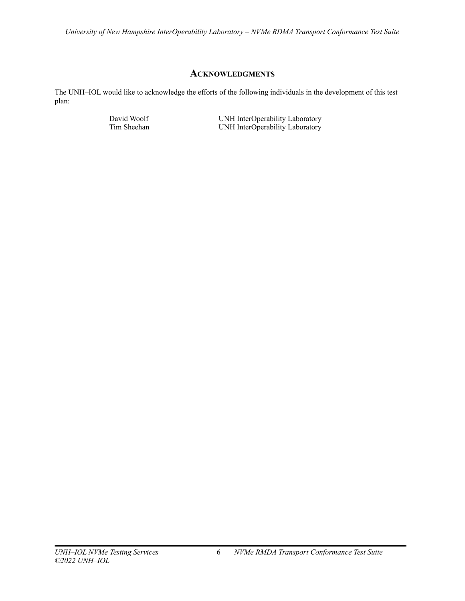## **ACKNOWLEDGMENTS**

<span id="page-5-0"></span>The UNH–IOL would like to acknowledge the efforts of the following individuals in the development of this test plan:

David Woolf UNH InterOperability Laboratory<br>
UNH InterOperability Laboratory<br>
UNH InterOperability Laboratory UNH InterOperability Laboratory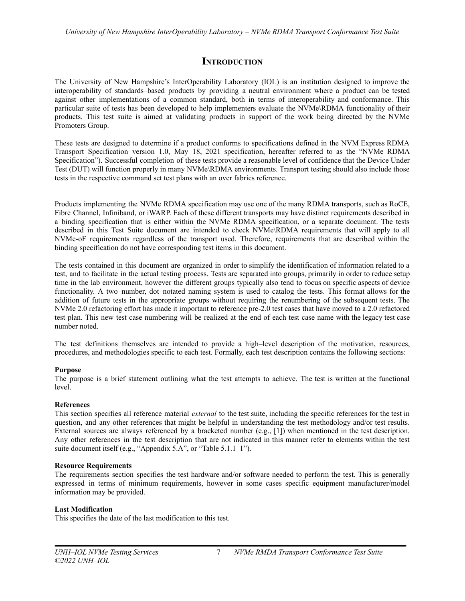## **INTRODUCTION**

<span id="page-6-0"></span>The University of New Hampshire's InterOperability Laboratory (IOL) is an institution designed to improve the interoperability of standards–based products by providing a neutral environment where a product can be tested against other implementations of a common standard, both in terms of interoperability and conformance. This particular suite of tests has been developed to help implementers evaluate the NVMe\RDMA functionality of their products. This test suite is aimed at validating products in support of the work being directed by the NVMe Promoters Group.

These tests are designed to determine if a product conforms to specifications defined in the NVM Express RDMA Transport Specification version 1.0, May 18, 2021 specification, hereafter referred to as the "NVMe RDMA Specification"). Successful completion of these tests provide a reasonable level of confidence that the Device Under Test (DUT) will function properly in many NVMe\RDMA environments. Transport testing should also include those tests in the respective command set test plans with an over fabrics reference.

Products implementing the NVMe RDMA specification may use one of the many RDMA transports, such as RoCE, Fibre Channel, Infiniband, or iWARP. Each of these different transports may have distinct requirements described in a binding specification that is either within the NVMe RDMA specification, or a separate document. The tests described in this Test Suite document are intended to check NVMe\RDMA requirements that will apply to all NVMe-oF requirements regardless of the transport used. Therefore, requirements that are described within the binding specification do not have corresponding test items in this document.

The tests contained in this document are organized in order to simplify the identification of information related to a test, and to facilitate in the actual testing process. Tests are separated into groups, primarily in order to reduce setup time in the lab environment, however the different groups typically also tend to focus on specific aspects of device functionality. A two–number, dot–notated naming system is used to catalog the tests. This format allows for the addition of future tests in the appropriate groups without requiring the renumbering of the subsequent tests. The NVMe 2.0 refactoring effort has made it important to reference pre-2.0 test cases that have moved to a 2.0 refactored test plan. This new test case numbering will be realized at the end of each test case name with the legacy test case number noted.

The test definitions themselves are intended to provide a high–level description of the motivation, resources, procedures, and methodologies specific to each test. Formally, each test description contains the following sections:

## **Purpose**

The purpose is a brief statement outlining what the test attempts to achieve. The test is written at the functional level.

## **References**

This section specifies all reference material *external* to the test suite, including the specific references for the test in question, and any other references that might be helpful in understanding the test methodology and/or test results. External sources are always referenced by a bracketed number (e.g., [1]) when mentioned in the test description. Any other references in the test description that are not indicated in this manner refer to elements within the test suite document itself (e.g., "Appendix 5.A", or "Table 5.1.1–1").

### **Resource Requirements**

The requirements section specifies the test hardware and/or software needed to perform the test. This is generally expressed in terms of minimum requirements, however in some cases specific equipment manufacturer/model information may be provided.

## **Last Modification**

This specifies the date of the last modification to this test.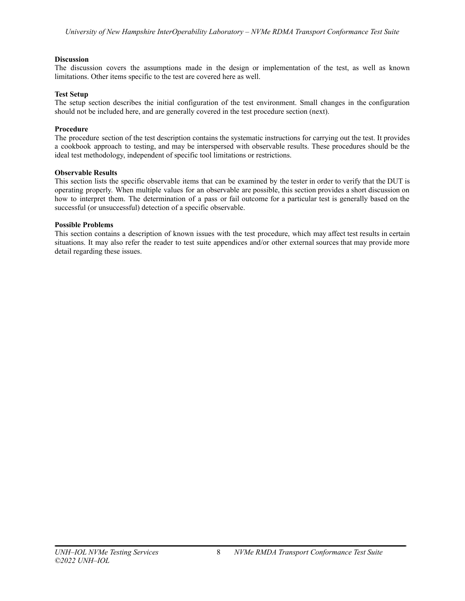## **Discussion**

The discussion covers the assumptions made in the design or implementation of the test, as well as known limitations. Other items specific to the test are covered here as well.

## **Test Setup**

The setup section describes the initial configuration of the test environment. Small changes in the configuration should not be included here, and are generally covered in the test procedure section (next).

## **Procedure**

The procedure section of the test description contains the systematic instructions for carrying out the test. It provides a cookbook approach to testing, and may be interspersed with observable results. These procedures should be the ideal test methodology, independent of specific tool limitations or restrictions.

## **Observable Results**

This section lists the specific observable items that can be examined by the tester in order to verify that the DUT is operating properly. When multiple values for an observable are possible, this section provides a short discussion on how to interpret them. The determination of a pass or fail outcome for a particular test is generally based on the successful (or unsuccessful) detection of a specific observable.

## **Possible Problems**

This section contains a description of known issues with the test procedure, which may affect test results in certain situations. It may also refer the reader to test suite appendices and/or other external sources that may provide more detail regarding these issues.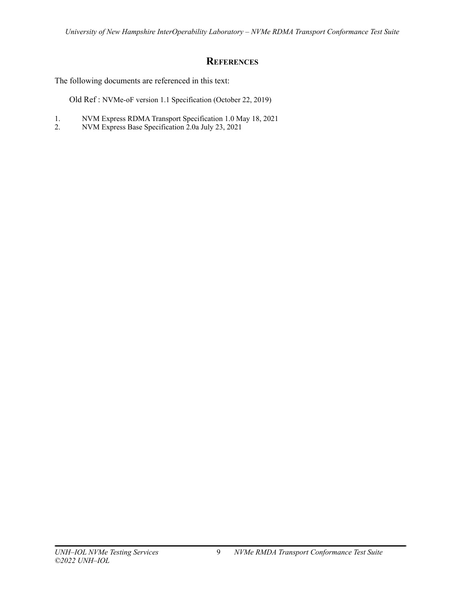## **REFERENCES**

<span id="page-8-0"></span>The following documents are referenced in this text:

Old Ref : NVMe-oF version 1.1 Specification (October 22, 2019)

- 1. NVM Express RDMA Transport Specification 1.0 May 18, 2021<br>2. NVM Express Base Specification 2.0a July 23, 2021
- 2. NVM Express Base Specification 2.0a July 23, 2021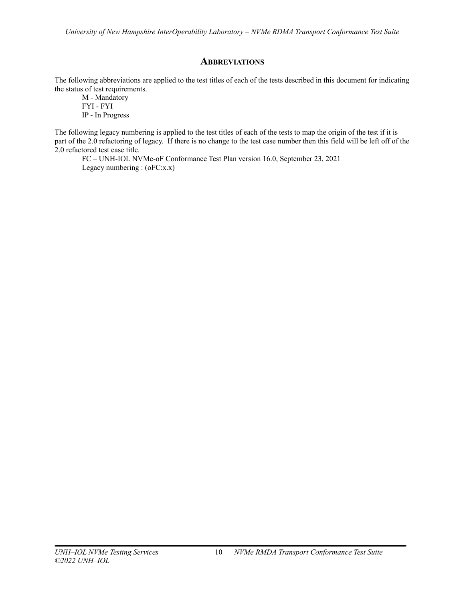## **ABBREVIATIONS**

<span id="page-9-0"></span>The following abbreviations are applied to the test titles of each of the tests described in this document for indicating the status of test requirements.

M - Mandatory FYI - FYI IP - In Progress

The following legacy numbering is applied to the test titles of each of the tests to map the origin of the test if it is part of the 2.0 refactoring of legacy. If there is no change to the test case number then this field will be left off of the 2.0 refactored test case title.

FC – UNH-IOL NVMe-oF Conformance Test Plan version 16.0, September 23, 2021 Legacy numbering : (oFC:x.x)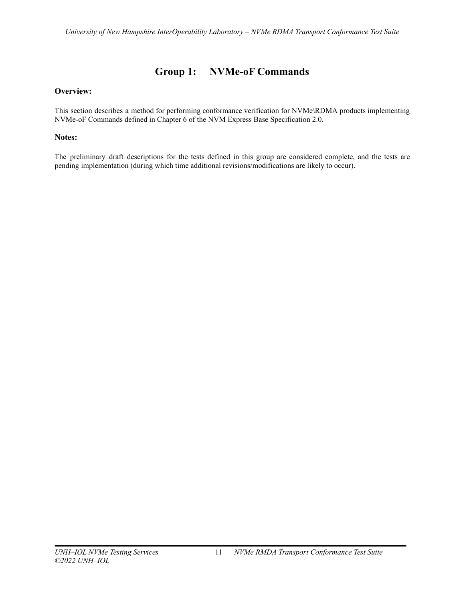# **Group 1: NVMe-oF Commands**

## <span id="page-10-0"></span>**Overview:**

This section describes a method for performing conformance verification for NVMe\RDMA products implementing NVMe-oF Commands defined in Chapter 6 of the NVM Express Base Specification 2.0.

## **Notes:**

The preliminary draft descriptions for the tests defined in this group are considered complete, and the tests are pending implementation (during which time additional revisions/modifications are likely to occur).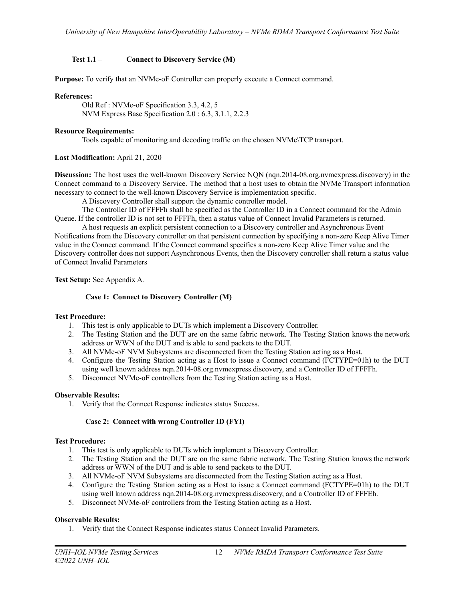## <span id="page-11-0"></span>**Test 1.1 – Connect to Discovery Service (M)**

**Purpose:** To verify that an NVMe-oF Controller can properly execute a Connect command.

## **References:**

Old Ref : NVMe-oF Specification 3.3, 4.2, 5 NVM Express Base Specification 2.0 : 6.3, 3.1.1, 2.2.3

## **Resource Requirements:**

Tools capable of monitoring and decoding traffic on the chosen NVMe\TCP transport.

## **Last Modification:** April 21, 2020

**Discussion:** The host uses the well-known Discovery Service NQN (nqn.2014-08.org.nvmexpress.discovery) in the Connect command to a Discovery Service. The method that a host uses to obtain the NVMe Transport information necessary to connect to the well-known Discovery Service is implementation specific.

A Discovery Controller shall support the dynamic controller model.

The Controller ID of FFFFh shall be specified as the Controller ID in a Connect command for the Admin Queue. If the controller ID is not set to FFFFh, then a status value of Connect Invalid Parameters is returned.

A host requests an explicit persistent connection to a Discovery controller and Asynchronous Event Notifications from the Discovery controller on that persistent connection by specifying a non-zero Keep Alive Timer value in the Connect command. If the Connect command specifies a non-zero Keep Alive Timer value and the Discovery controller does not support Asynchronous Events, then the Discovery controller shall return a status value of Connect Invalid Parameters

<span id="page-11-1"></span>**Test Setup:** See Appendix A.

## **Case 1: Connect to Discovery Controller (M)**

### **Test Procedure:**

- 1. This test is only applicable to DUTs which implement a Discovery Controller.
- 2. The Testing Station and the DUT are on the same fabric network. The Testing Station knows the network address or WWN of the DUT and is able to send packets to the DUT.
- 3. All NVMe-oF NVM Subsystems are disconnected from the Testing Station acting as a Host.
- 4. Configure the Testing Station acting as a Host to issue a Connect command (FCTYPE=01h) to the DUT using well known address nqn.2014-08.org.nvmexpress.discovery, and a Controller ID of FFFFh.
- 5. Disconnect NVMe-oF controllers from the Testing Station acting as a Host.

### **Observable Results:**

1. Verify that the Connect Response indicates status Success.

## **Case 2: Connect with wrong Controller ID (FYI)**

### <span id="page-11-2"></span>**Test Procedure:**

- 1. This test is only applicable to DUTs which implement a Discovery Controller.
- 2. The Testing Station and the DUT are on the same fabric network. The Testing Station knows the network address or WWN of the DUT and is able to send packets to the DUT.
- 3. All NVMe-oF NVM Subsystems are disconnected from the Testing Station acting as a Host.
- 4. Configure the Testing Station acting as a Host to issue a Connect command (FCTYPE=01h) to the DUT using well known address nqn.2014-08.org.nvmexpress.discovery, and a Controller ID of FFFEh.
- 5. Disconnect NVMe-oF controllers from the Testing Station acting as a Host.

## **Observable Results:**

1. Verify that the Connect Response indicates status Connect Invalid Parameters.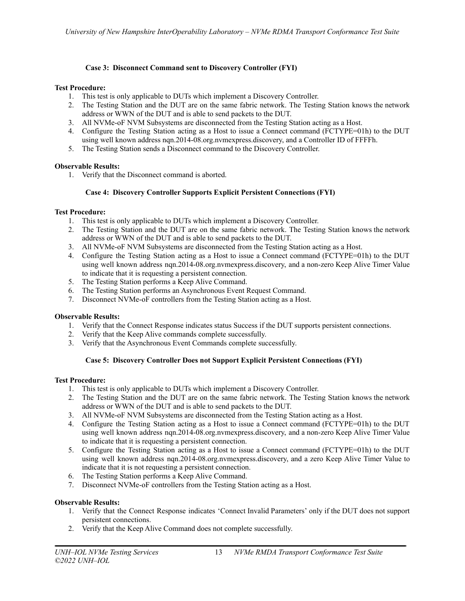## **Case 3: Disconnect Command sent to Discovery Controller (FYI)**

## <span id="page-12-0"></span>**Test Procedure:**

- 1. This test is only applicable to DUTs which implement a Discovery Controller.
- 2. The Testing Station and the DUT are on the same fabric network. The Testing Station knows the network address or WWN of the DUT and is able to send packets to the DUT.
- 3. All NVMe-oF NVM Subsystems are disconnected from the Testing Station acting as a Host.
- 4. Configure the Testing Station acting as a Host to issue a Connect command (FCTYPE=01h) to the DUT using well known address nqn.2014-08.org.nvmexpress.discovery, and a Controller ID of FFFFh.
- 5. The Testing Station sends a Disconnect command to the Discovery Controller.

## **Observable Results:**

1. Verify that the Disconnect command is aborted.

## **Case 4: Discovery Controller Supports Explicit Persistent Connections (FYI)**

## <span id="page-12-1"></span>**Test Procedure:**

- 1. This test is only applicable to DUTs which implement a Discovery Controller.
- 2. The Testing Station and the DUT are on the same fabric network. The Testing Station knows the network address or WWN of the DUT and is able to send packets to the DUT.
- 3. All NVMe-oF NVM Subsystems are disconnected from the Testing Station acting as a Host.
- 4. Configure the Testing Station acting as a Host to issue a Connect command (FCTYPE=01h) to the DUT using well known address nqn.2014-08.org.nvmexpress.discovery, and a non-zero Keep Alive Timer Value to indicate that it is requesting a persistent connection.
- 5. The Testing Station performs a Keep Alive Command.
- 6. The Testing Station performs an Asynchronous Event Request Command.
- 7. Disconnect NVMe-oF controllers from the Testing Station acting as a Host.

### **Observable Results:**

- 1. Verify that the Connect Response indicates status Success if the DUT supports persistent connections.
- 2. Verify that the Keep Alive commands complete successfully.
- 3. Verify that the Asynchronous Event Commands complete successfully.

## **Case 5: Discovery Controller Does not Support Explicit Persistent Connections (FYI)**

### <span id="page-12-2"></span>**Test Procedure:**

- 1. This test is only applicable to DUTs which implement a Discovery Controller.
- 2. The Testing Station and the DUT are on the same fabric network. The Testing Station knows the network address or WWN of the DUT and is able to send packets to the DUT.
- 3. All NVMe-oF NVM Subsystems are disconnected from the Testing Station acting as a Host.
- 4. Configure the Testing Station acting as a Host to issue a Connect command (FCTYPE=01h) to the DUT using well known address ngn.2014-08.org.nvmexpress.discovery, and a non-zero Keep Alive Timer Value to indicate that it is requesting a persistent connection.
- 5. Configure the Testing Station acting as a Host to issue a Connect command (FCTYPE=01h) to the DUT using well known address nqn.2014-08.org.nvmexpress.discovery, and a zero Keep Alive Timer Value to indicate that it is not requesting a persistent connection.
- 6. The Testing Station performs a Keep Alive Command.
- 7. Disconnect NVMe-oF controllers from the Testing Station acting as a Host.

### **Observable Results:**

- 1. Verify that the Connect Response indicates 'Connect Invalid Parameters' only if the DUT does not support persistent connections.
- 2. Verify that the Keep Alive Command does not complete successfully.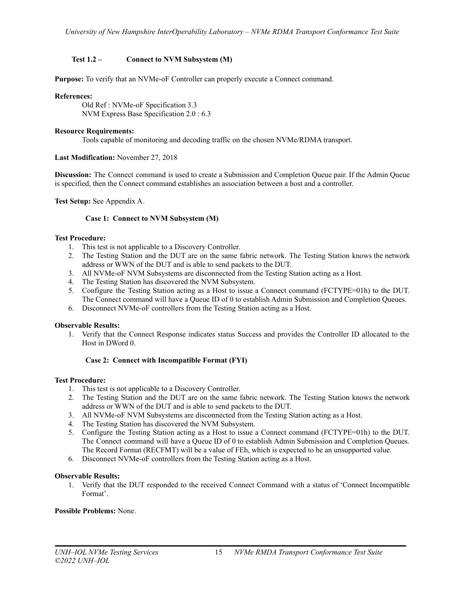## <span id="page-14-0"></span>**Test 1.2 – Connect to NVM Subsystem (M)**

**Purpose:** To verify that an NVMe-oF Controller can properly execute a Connect command.

### **References:**

Old Ref : NVMe-oF Specification 3.3 NVM Express Base Specification 2.0 : 6.3

## **Resource Requirements:**

Tools capable of monitoring and decoding traffic on the chosen NVMe/RDMA transport.

## **Last Modification:** November 27, 2018

**Discussion:** The Connect command is used to create a Submission and Completion Queue pair. If the Admin Queue is specified, then the Connect command establishes an association between a host and a controller.

<span id="page-14-1"></span>**Test Setup:** See Appendix A.

## **Case 1: Connect to NVM Subsystem (M)**

## **Test Procedure:**

- 1. This test is not applicable to a Discovery Controller.
- 2. The Testing Station and the DUT are on the same fabric network. The Testing Station knows the network address or WWN of the DUT and is able to send packets to the DUT.
- 3. All NVMe-oF NVM Subsystems are disconnected from the Testing Station acting as a Host.
- 4. The Testing Station has discovered the NVM Subsystem.
- 5. Configure the Testing Station acting as a Host to issue a Connect command (FCTYPE=01h) to the DUT. The Connect command will have a Queue ID of 0 to establish Admin Submission and Completion Queues.
- 6. Disconnect NVMe-oF controllers from the Testing Station acting as a Host.

### **Observable Results:**

1. Verify that the Connect Response indicates status Success and provides the Controller ID allocated to the Host in DWord 0.

## **Case 2: Connect with Incompatible Format (FYI)**

### <span id="page-14-2"></span>**Test Procedure:**

- 1. This test is not applicable to a Discovery Controller.
- 2. The Testing Station and the DUT are on the same fabric network. The Testing Station knows the network address or WWN of the DUT and is able to send packets to the DUT.
- 3. All NVMe-oF NVM Subsystems are disconnected from the Testing Station acting as a Host.
- 4. The Testing Station has discovered the NVM Subsystem.
- 5. Configure the Testing Station acting as a Host to issue a Connect command (FCTYPE=01h) to the DUT. The Connect command will have a Queue ID of 0 to establish Admin Submission and Completion Queues. The Record Format (RECFMT) will be a value of FEh, which is expected to be an unsupported value.
- 6. Disconnect NVMe-oF controllers from the Testing Station acting as a Host.

### **Observable Results:**

1. Verify that the DUT responded to the received Connect Command with a status of 'Connect Incompatible Format'.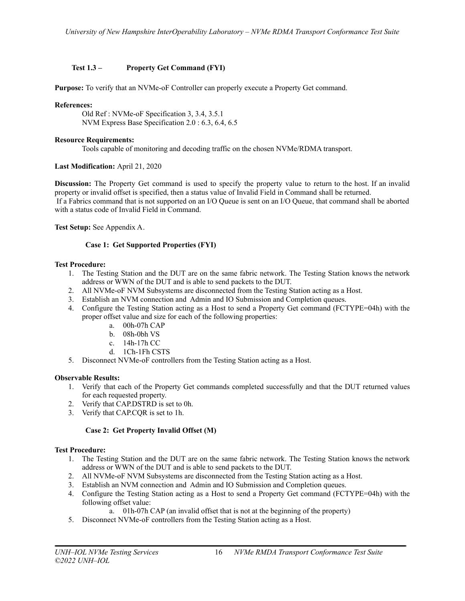## <span id="page-15-0"></span>**Test 1.3 – Property Get Command (FYI)**

**Purpose:** To verify that an NVMe-oF Controller can properly execute a Property Get command.

## **References:**

Old Ref : NVMe-oF Specification 3, 3.4, 3.5.1 NVM Express Base Specification 2.0 : 6.3, 6.4, 6.5

### **Resource Requirements:**

Tools capable of monitoring and decoding traffic on the chosen NVMe/RDMA transport.

## **Last Modification:** April 21, 2020

**Discussion:** The Property Get command is used to specify the property value to return to the host. If an invalid property or invalid offset is specified, then a status value of Invalid Field in Command shall be returned. If a Fabrics command that is not supported on an I/O Queue is sent on an I/O Queue, that command shall be aborted with a status code of Invalid Field in Command.

<span id="page-15-1"></span>**Test Setup:** See Appendix A.

## **Case 1: Get Supported Properties (FYI)**

## **Test Procedure:**

- 1. The Testing Station and the DUT are on the same fabric network. The Testing Station knows the network address or WWN of the DUT and is able to send packets to the DUT.
- 2. All NVMe-oF NVM Subsystems are disconnected from the Testing Station acting as a Host.
- 3. Establish an NVM connection and Admin and IO Submission and Completion queues.
- 4. Configure the Testing Station acting as a Host to send a Property Get command (FCTYPE=04h) with the proper offset value and size for each of the following properties:
	- a. 00h-07h CAP
	- b. 08h-0bh VS
	- c. 14h-17h CC
	- d. 1Ch-1Fh CSTS
- 5. Disconnect NVMe-oF controllers from the Testing Station acting as a Host.

### **Observable Results:**

- 1. Verify that each of the Property Get commands completed successfully and that the DUT returned values for each requested property.
- 2. Verify that CAP.DSTRD is set to 0h.
- 3. Verify that CAP.CQR is set to 1h.

## **Case 2: Get Property Invalid Offset (M)**

### <span id="page-15-2"></span>**Test Procedure:**

- 1. The Testing Station and the DUT are on the same fabric network. The Testing Station knows the network address or WWN of the DUT and is able to send packets to the DUT.
- 2. All NVMe-oF NVM Subsystems are disconnected from the Testing Station acting as a Host.
- 3. Establish an NVM connection and Admin and IO Submission and Completion queues.
- 4. Configure the Testing Station acting as a Host to send a Property Get command (FCTYPE=04h) with the following offset value:
	- a. 01h-07h CAP (an invalid offset that is not at the beginning of the property)
- 5. Disconnect NVMe-oF controllers from the Testing Station acting as a Host.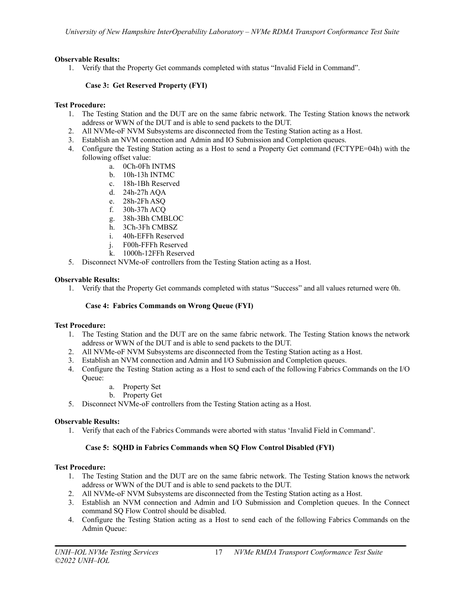## **Observable Results:**

1. Verify that the Property Get commands completed with status "Invalid Field in Command".

## **Case 3: Get Reserved Property (FYI)**

## <span id="page-16-0"></span>**Test Procedure:**

- 1. The Testing Station and the DUT are on the same fabric network. The Testing Station knows the network address or WWN of the DUT and is able to send packets to the DUT.
- 2. All NVMe-oF NVM Subsystems are disconnected from the Testing Station acting as a Host.
- 3. Establish an NVM connection and Admin and IO Submission and Completion queues.
- 4. Configure the Testing Station acting as a Host to send a Property Get command (FCTYPE=04h) with the following offset value:
	- a. 0Ch-0Fh INTMS
	- b. 10h-13h INTMC
	- c. 18h-1Bh Reserved
	- d. 24h-27h AQA
	- e. 28h-2Fh ASQ
	- f. 30h-37h ACQ
	- g. 38h-3Bh CMBLOC
	- h. 3Ch-3Fh CMBSZ
	- i. 40h-EFFh Reserved
	- j. F00h-FFFh Reserved
	- k. 1000h-12FFh Reserved
- 5. Disconnect NVMe-oF controllers from the Testing Station acting as a Host.

## **Observable Results:**

1. Verify that the Property Get commands completed with status "Success" and all values returned were 0h.

### **Case 4: Fabrics Commands on Wrong Queue (FYI)**

### <span id="page-16-1"></span>**Test Procedure:**

- 1. The Testing Station and the DUT are on the same fabric network. The Testing Station knows the network address or WWN of the DUT and is able to send packets to the DUT.
- 2. All NVMe-oF NVM Subsystems are disconnected from the Testing Station acting as a Host.
- 3. Establish an NVM connection and Admin and I/O Submission and Completion queues.
- 4. Configure the Testing Station acting as a Host to send each of the following Fabrics Commands on the I/O Queue:
	- a. Property Set
	- b. Property Get
- 5. Disconnect NVMe-oF controllers from the Testing Station acting as a Host.

### **Observable Results:**

1. Verify that each of the Fabrics Commands were aborted with status 'Invalid Field in Command'.

## **Case 5: SQHD in Fabrics Commands when SQ Flow Control Disabled (FYI)**

### <span id="page-16-2"></span>**Test Procedure:**

- 1. The Testing Station and the DUT are on the same fabric network. The Testing Station knows the network address or WWN of the DUT and is able to send packets to the DUT.
- 2. All NVMe-oF NVM Subsystems are disconnected from the Testing Station acting as a Host.
- 3. Establish an NVM connection and Admin and I/O Submission and Completion queues. In the Connect command SQ Flow Control should be disabled.
- 4. Configure the Testing Station acting as a Host to send each of the following Fabrics Commands on the Admin Queue: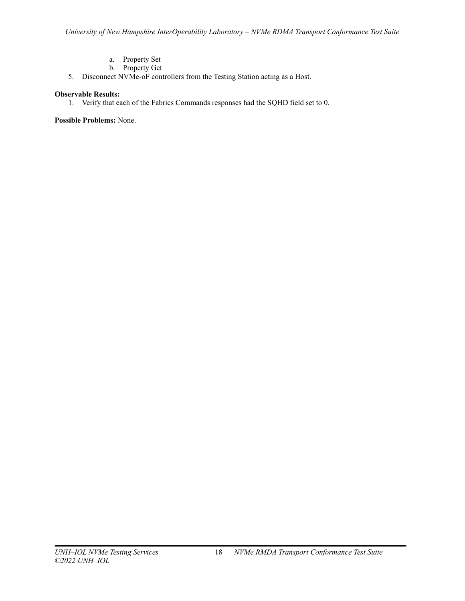- a. Property Set
- b. Property Get
- 5. Disconnect NVMe-oF controllers from the Testing Station acting as a Host.

## **Observable Results:**

1. Verify that each of the Fabrics Commands responses had the SQHD field set to 0.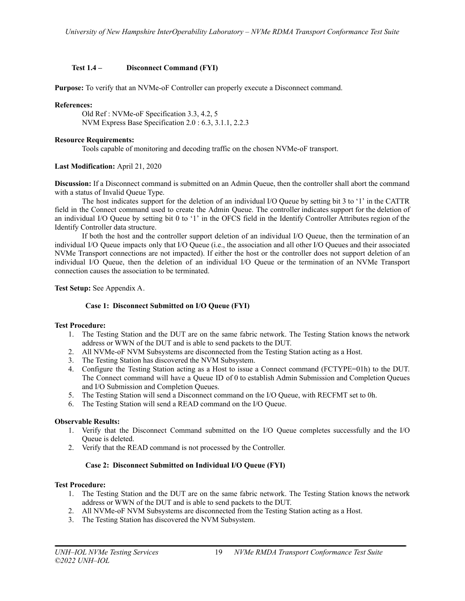## <span id="page-18-0"></span>**Test 1.4 – Disconnect Command (FYI)**

**Purpose:** To verify that an NVMe-oF Controller can properly execute a Disconnect command.

## **References:**

Old Ref : NVMe-oF Specification 3.3, 4.2, 5 NVM Express Base Specification 2.0 : 6.3, 3.1.1, 2.2.3

## **Resource Requirements:**

Tools capable of monitoring and decoding traffic on the chosen NVMe-oF transport.

## **Last Modification:** April 21, 2020

**Discussion:** If a Disconnect command is submitted on an Admin Queue, then the controller shall abort the command with a status of Invalid Queue Type.

The host indicates support for the deletion of an individual I/O Queue by setting bit 3 to '1' in the CATTR field in the Connect command used to create the Admin Queue. The controller indicates support for the deletion of an individual I/O Queue by setting bit 0 to '1' in the OFCS field in the Identify Controller Attributes region of the Identify Controller data structure.

If both the host and the controller support deletion of an individual I/O Queue, then the termination of an individual I/O Queue impacts only that I/O Queue (i.e., the association and all other I/O Queues and their associated NVMe Transport connections are not impacted). If either the host or the controller does not support deletion of an individual I/O Queue, then the deletion of an individual I/O Queue or the termination of an NVMe Transport connection causes the association to be terminated.

<span id="page-18-1"></span>**Test Setup:** See Appendix A.

## **Case 1: Disconnect Submitted on I/O Queue (FYI)**

### **Test Procedure:**

- 1. The Testing Station and the DUT are on the same fabric network. The Testing Station knows the network address or WWN of the DUT and is able to send packets to the DUT.
- 2. All NVMe-oF NVM Subsystems are disconnected from the Testing Station acting as a Host.
- 3. The Testing Station has discovered the NVM Subsystem.
- 4. Configure the Testing Station acting as a Host to issue a Connect command (FCTYPE=01h) to the DUT. The Connect command will have a Queue ID of 0 to establish Admin Submission and Completion Queues and I/O Submission and Completion Queues.
- 5. The Testing Station will send a Disconnect command on the I/O Queue, with RECFMT set to 0h.
- 6. The Testing Station will send a READ command on the I/O Queue.

### **Observable Results:**

- 1. Verify that the Disconnect Command submitted on the I/O Queue completes successfully and the I/O Queue is deleted.
- 2. Verify that the READ command is not processed by the Controller.

## **Case 2: Disconnect Submitted on Individual I/O Queue (FYI)**

### <span id="page-18-2"></span>**Test Procedure:**

- 1. The Testing Station and the DUT are on the same fabric network. The Testing Station knows the network address or WWN of the DUT and is able to send packets to the DUT.
- 2. All NVMe-oF NVM Subsystems are disconnected from the Testing Station acting as a Host.
- 3. The Testing Station has discovered the NVM Subsystem.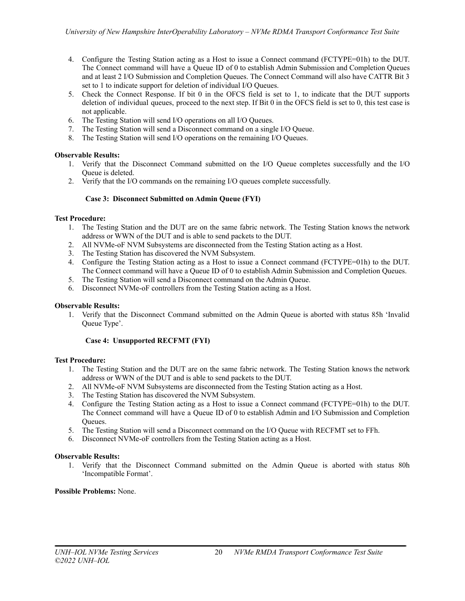- 4. Configure the Testing Station acting as a Host to issue a Connect command (FCTYPE=01h) to the DUT. The Connect command will have a Queue ID of 0 to establish Admin Submission and Completion Queues and at least 2 I/O Submission and Completion Queues. The Connect Command will also have CATTR Bit 3 set to 1 to indicate support for deletion of individual I/O Queues.
- 5. Check the Connect Response. If bit 0 in the OFCS field is set to 1, to indicate that the DUT supports deletion of individual queues, proceed to the next step. If Bit 0 in the OFCS field is set to 0, this test case is not applicable.
- 6. The Testing Station will send I/O operations on all I/O Queues.
- 7. The Testing Station will send a Disconnect command on a single I/O Queue.
- 8. The Testing Station will send I/O operations on the remaining I/O Queues.

## **Observable Results:**

- 1. Verify that the Disconnect Command submitted on the I/O Queue completes successfully and the I/O Queue is deleted.
- 2. Verify that the I/O commands on the remaining I/O queues complete successfully.

## **Case 3: Disconnect Submitted on Admin Queue (FYI)**

## <span id="page-19-0"></span>**Test Procedure:**

- 1. The Testing Station and the DUT are on the same fabric network. The Testing Station knows the network address or WWN of the DUT and is able to send packets to the DUT.
- 2. All NVMe-oF NVM Subsystems are disconnected from the Testing Station acting as a Host.
- 3. The Testing Station has discovered the NVM Subsystem.
- 4. Configure the Testing Station acting as a Host to issue a Connect command (FCTYPE=01h) to the DUT. The Connect command will have a Queue ID of 0 to establish Admin Submission and Completion Queues.
- 5. The Testing Station will send a Disconnect command on the Admin Queue.
- 6. Disconnect NVMe-oF controllers from the Testing Station acting as a Host.

### **Observable Results:**

1. Verify that the Disconnect Command submitted on the Admin Queue is aborted with status 85h 'Invalid Queue Type'.

## **Case 4: Unsupported RECFMT (FYI)**

### <span id="page-19-1"></span>**Test Procedure:**

- 1. The Testing Station and the DUT are on the same fabric network. The Testing Station knows the network address or WWN of the DUT and is able to send packets to the DUT.
- 2. All NVMe-oF NVM Subsystems are disconnected from the Testing Station acting as a Host.
- 3. The Testing Station has discovered the NVM Subsystem.
- 4. Configure the Testing Station acting as a Host to issue a Connect command (FCTYPE=01h) to the DUT. The Connect command will have a Queue ID of 0 to establish Admin and I/O Submission and Completion Queues.
- 5. The Testing Station will send a Disconnect command on the I/O Queue with RECFMT set to FFh.
- 6. Disconnect NVMe-oF controllers from the Testing Station acting as a Host.

### **Observable Results:**

1. Verify that the Disconnect Command submitted on the Admin Queue is aborted with status 80h 'Incompatible Format'.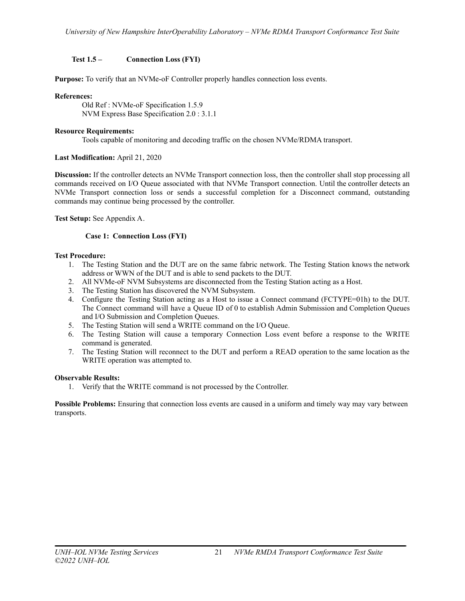## <span id="page-20-0"></span>**Test 1.5 – Connection Loss (FYI)**

**Purpose:** To verify that an NVMe-oF Controller properly handles connection loss events.

## **References:**

Old Ref : NVMe-oF Specification 1.5.9 NVM Express Base Specification 2.0 : 3.1.1

## **Resource Requirements:**

Tools capable of monitoring and decoding traffic on the chosen NVMe/RDMA transport.

## **Last Modification:** April 21, 2020

**Discussion:** If the controller detects an NVMe Transport connection loss, then the controller shall stop processing all commands received on I/O Queue associated with that NVMe Transport connection. Until the controller detects an NVMe Transport connection loss or sends a successful completion for a Disconnect command, outstanding commands may continue being processed by the controller.

## <span id="page-20-1"></span>**Test Setup:** See Appendix A.

## **Case 1: Connection Loss (FYI)**

## **Test Procedure:**

- 1. The Testing Station and the DUT are on the same fabric network. The Testing Station knows the network address or WWN of the DUT and is able to send packets to the DUT.
- 2. All NVMe-oF NVM Subsystems are disconnected from the Testing Station acting as a Host.
- 3. The Testing Station has discovered the NVM Subsystem.
- 4. Configure the Testing Station acting as a Host to issue a Connect command (FCTYPE=01h) to the DUT. The Connect command will have a Queue ID of 0 to establish Admin Submission and Completion Queues and I/O Submission and Completion Queues.
- 5. The Testing Station will send a WRITE command on the I/O Queue.
- 6. The Testing Station will cause a temporary Connection Loss event before a response to the WRITE command is generated.
- 7. The Testing Station will reconnect to the DUT and perform a READ operation to the same location as the WRITE operation was attempted to.

### **Observable Results:**

1. Verify that the WRITE command is not processed by the Controller.

**Possible Problems:** Ensuring that connection loss events are caused in a uniform and timely way may vary between transports.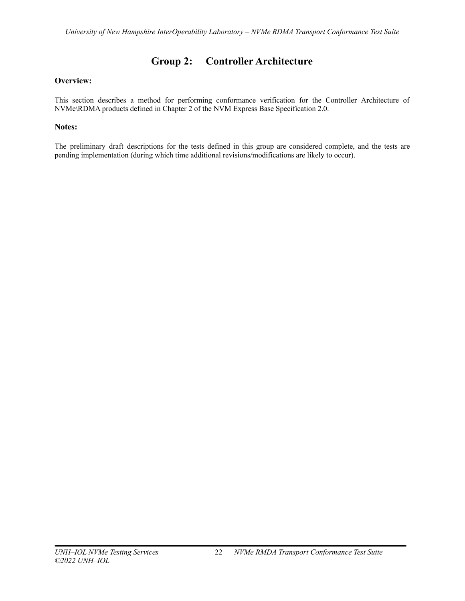# **Group 2: Controller Architecture**

## <span id="page-21-0"></span>**Overview:**

This section describes a method for performing conformance verification for the Controller Architecture of NVMe\RDMA products defined in Chapter 2 of the NVM Express Base Specification 2.0.

## **Notes:**

The preliminary draft descriptions for the tests defined in this group are considered complete, and the tests are pending implementation (during which time additional revisions/modifications are likely to occur).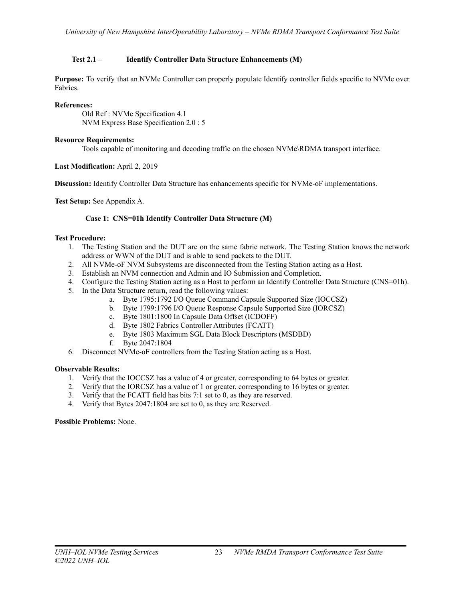## <span id="page-22-0"></span>**Test 2.1 – Identify Controller Data Structure Enhancements (M)**

**Purpose:** To verify that an NVMe Controller can properly populate Identify controller fields specific to NVMe over Fabrics.

## **References:**

Old Ref : NVMe Specification 4.1 NVM Express Base Specification 2.0 : 5

## **Resource Requirements:**

Tools capable of monitoring and decoding traffic on the chosen NVMe\RDMA transport interface.

## **Last Modification:** April 2, 2019

**Discussion:** Identify Controller Data Structure has enhancements specific for NVMe-oF implementations.

<span id="page-22-1"></span>**Test Setup:** See Appendix A.

## **Case 1: CNS=01h Identify Controller Data Structure (M)**

## **Test Procedure:**

- 1. The Testing Station and the DUT are on the same fabric network. The Testing Station knows the network address or WWN of the DUT and is able to send packets to the DUT.
- 2. All NVMe-oF NVM Subsystems are disconnected from the Testing Station acting as a Host.
- 3. Establish an NVM connection and Admin and IO Submission and Completion.
- 4. Configure the Testing Station acting as a Host to perform an Identify Controller Data Structure (CNS=01h).
- 5. In the Data Structure return, read the following values:
	- a. Byte 1795:1792 I/O Queue Command Capsule Supported Size (IOCCSZ)
	- b. Byte 1799:1796 I/O Queue Response Capsule Supported Size (IORCSZ)
	- c. Byte 1801:1800 In Capsule Data Offset (ICDOFF)
	- d. Byte 1802 Fabrics Controller Attributes (FCATT)
	- e. Byte 1803 Maximum SGL Data Block Descriptors (MSDBD)
	- f. Byte 2047:1804
- 6. Disconnect NVMe-oF controllers from the Testing Station acting as a Host.

### **Observable Results:**

- 1. Verify that the IOCCSZ has a value of 4 or greater, corresponding to 64 bytes or greater.
- 2. Verify that the IORCSZ has a value of 1 or greater, corresponding to 16 bytes or greater.
- 3. Verify that the FCATT field has bits 7:1 set to 0, as they are reserved.
- 4. Verify that Bytes 2047:1804 are set to 0, as they are Reserved.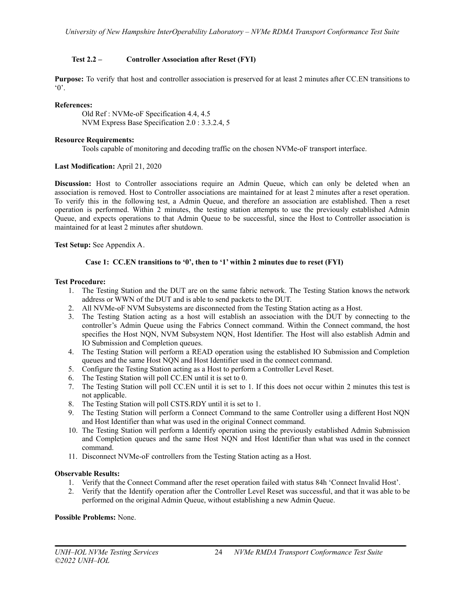## <span id="page-23-0"></span>**Test 2.2 – Controller Association after Reset (FYI)**

**Purpose:** To verify that host and controller association is preserved for at least 2 minutes after CC.EN transitions to  $^{\circ}$  0'.

### **References:**

Old Ref : NVMe-oF Specification 4.4, 4.5 NVM Express Base Specification 2.0 : 3.3.2.4, 5

### **Resource Requirements:**

Tools capable of monitoring and decoding traffic on the chosen NVMe-oF transport interface.

### **Last Modification:** April 21, 2020

**Discussion:** Host to Controller associations require an Admin Queue, which can only be deleted when an association is removed. Host to Controller associations are maintained for at least 2 minutes after a reset operation. To verify this in the following test, a Admin Queue, and therefore an association are established. Then a reset operation is performed. Within 2 minutes, the testing station attempts to use the previously established Admin Queue, and expects operations to that Admin Queue to be successful, since the Host to Controller association is maintained for at least 2 minutes after shutdown.

<span id="page-23-1"></span>**Test Setup:** See Appendix A.

### **Case 1: CC.EN transitions to '0', then to '1' within 2 minutes due to reset (FYI)**

#### **Test Procedure:**

- 1. The Testing Station and the DUT are on the same fabric network. The Testing Station knows the network address or WWN of the DUT and is able to send packets to the DUT.
- 2. All NVMe-oF NVM Subsystems are disconnected from the Testing Station acting as a Host.
- 3. The Testing Station acting as a host will establish an association with the DUT by connecting to the controller's Admin Queue using the Fabrics Connect command. Within the Connect command, the host specifies the Host NQN, NVM Subsystem NQN, Host Identifier. The Host will also establish Admin and IO Submission and Completion queues.
- 4. The Testing Station will perform a READ operation using the established IO Submission and Completion queues and the same Host NQN and Host Identifier used in the connect command.
- 5. Configure the Testing Station acting as a Host to perform a Controller Level Reset.
- 6. The Testing Station will poll CC.EN until it is set to 0.
- 7. The Testing Station will poll CC.EN until it is set to 1. If this does not occur within 2 minutes this test is not applicable.
- 8. The Testing Station will poll CSTS.RDY until it is set to 1.
- 9. The Testing Station will perform a Connect Command to the same Controller using a different Host NQN and Host Identifier than what was used in the original Connect command.
- 10. The Testing Station will perform a Identify operation using the previously established Admin Submission and Completion queues and the same Host NQN and Host Identifier than what was used in the connect command.
- 11. Disconnect NVMe-oF controllers from the Testing Station acting as a Host.

### **Observable Results:**

- 1. Verify that the Connect Command after the reset operation failed with status 84h 'Connect Invalid Host'.
- 2. Verify that the Identify operation after the Controller Level Reset was successful, and that it was able to be performed on the original Admin Queue, without establishing a new Admin Queue.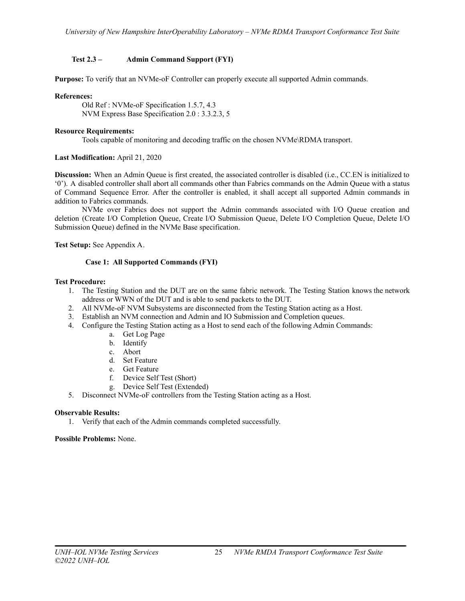## <span id="page-24-0"></span>**Test 2.3 – Admin Command Support (FYI)**

**Purpose:** To verify that an NVMe-oF Controller can properly execute all supported Admin commands.

### **References:**

Old Ref : NVMe-oF Specification 1.5.7, 4.3 NVM Express Base Specification 2.0 : 3.3.2.3, 5

## **Resource Requirements:**

Tools capable of monitoring and decoding traffic on the chosen NVMe\RDMA transport.

## **Last Modification:** April 21, 2020

**Discussion:** When an Admin Queue is first created, the associated controller is disabled (i.e., CC.EN is initialized to '0'). A disabled controller shall abort all commands other than Fabrics commands on the Admin Queue with a status of Command Sequence Error. After the controller is enabled, it shall accept all supported Admin commands in addition to Fabrics commands.

NVMe over Fabrics does not support the Admin commands associated with I/O Queue creation and deletion (Create I/O Completion Queue, Create I/O Submission Queue, Delete I/O Completion Queue, Delete I/O Submission Queue) defined in the NVMe Base specification.

<span id="page-24-1"></span>**Test Setup:** See Appendix A.

## **Case 1: All Supported Commands (FYI)**

### **Test Procedure:**

- 1. The Testing Station and the DUT are on the same fabric network. The Testing Station knows the network address or WWN of the DUT and is able to send packets to the DUT.
- 2. All NVMe-oF NVM Subsystems are disconnected from the Testing Station acting as a Host.
- 3. Establish an NVM connection and Admin and IO Submission and Completion queues.
- 4. Configure the Testing Station acting as a Host to send each of the following Admin Commands:
	- a. Get Log Page
	- b. Identify
	- c. Abort
	- d. Set Feature
	- e. Get Feature
	- f. Device Self Test (Short)
	- g. Device Self Test (Extended)
- 5. Disconnect NVMe-oF controllers from the Testing Station acting as a Host.

### **Observable Results:**

1. Verify that each of the Admin commands completed successfully.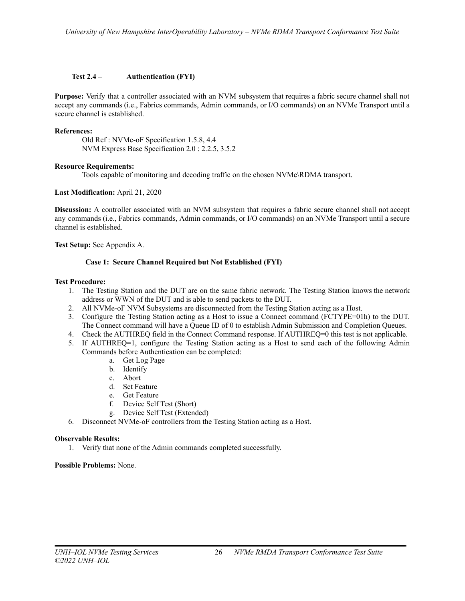## <span id="page-25-0"></span>**Test 2.4 – Authentication (FYI)**

**Purpose:** Verify that a controller associated with an NVM subsystem that requires a fabric secure channel shall not accept any commands (i.e., Fabrics commands, Admin commands, or I/O commands) on an NVMe Transport until a secure channel is established.

## **References:**

Old Ref : NVMe-oF Specification 1.5.8, 4.4 NVM Express Base Specification 2.0 : 2.2.5, 3.5.2

### **Resource Requirements:**

Tools capable of monitoring and decoding traffic on the chosen NVMe\RDMA transport.

## **Last Modification:** April 21, 2020

**Discussion:** A controller associated with an NVM subsystem that requires a fabric secure channel shall not accept any commands (i.e., Fabrics commands, Admin commands, or I/O commands) on an NVMe Transport until a secure channel is established.

<span id="page-25-1"></span>**Test Setup:** See Appendix A.

## **Case 1: Secure Channel Required but Not Established (FYI)**

## **Test Procedure:**

- 1. The Testing Station and the DUT are on the same fabric network. The Testing Station knows the network address or WWN of the DUT and is able to send packets to the DUT.
- 2. All NVMe-oF NVM Subsystems are disconnected from the Testing Station acting as a Host.
- 3. Configure the Testing Station acting as a Host to issue a Connect command (FCTYPE=01h) to the DUT. The Connect command will have a Queue ID of 0 to establish Admin Submission and Completion Queues.
- 4. Check the AUTHREQ field in the Connect Command response. If AUTHREQ=0 this test is not applicable.
- 5. If AUTHREQ=1, configure the Testing Station acting as a Host to send each of the following Admin Commands before Authentication can be completed:
	- a. Get Log Page
	- b. Identify
	- c. Abort
	- d. Set Feature
	- e. Get Feature
	- f. Device Self Test (Short)
	- g. Device Self Test (Extended)
- 6. Disconnect NVMe-oF controllers from the Testing Station acting as a Host.

### **Observable Results:**

1. Verify that none of the Admin commands completed successfully.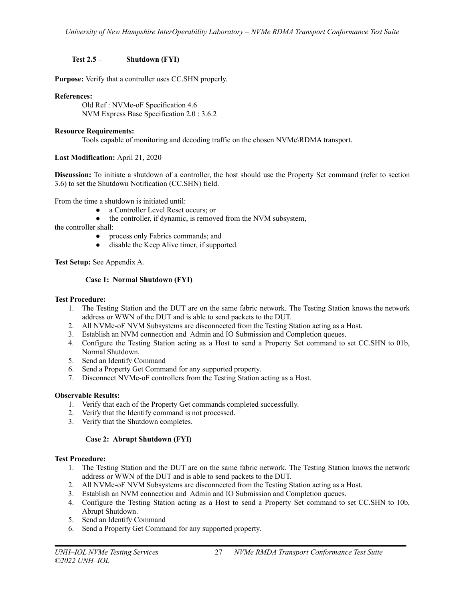## <span id="page-26-0"></span>**Test 2.5 – Shutdown (FYI)**

**Purpose:** Verify that a controller uses CC.SHN properly.

## **References:**

Old Ref : NVMe-oF Specification 4.6 NVM Express Base Specification 2.0 : 3.6.2

## **Resource Requirements:**

Tools capable of monitoring and decoding traffic on the chosen NVMe\RDMA transport.

## **Last Modification:** April 21, 2020

**Discussion:** To initiate a shutdown of a controller, the host should use the Property Set command (refer to section 3.6) to set the Shutdown Notification (CC.SHN) field.

From the time a shutdown is initiated until:

- a Controller Level Reset occurs; or
- the controller, if dynamic, is removed from the NVM subsystem,

the controller shall:

- process only Fabrics commands; and
- disable the Keep Alive timer, if supported.

<span id="page-26-1"></span>**Test Setup:** See Appendix A.

## **Case 1: Normal Shutdown (FYI)**

### **Test Procedure:**

- 1. The Testing Station and the DUT are on the same fabric network. The Testing Station knows the network address or WWN of the DUT and is able to send packets to the DUT.
- 2. All NVMe-oF NVM Subsystems are disconnected from the Testing Station acting as a Host.
- 3. Establish an NVM connection and Admin and IO Submission and Completion queues.
- 4. Configure the Testing Station acting as a Host to send a Property Set command to set CC.SHN to 01b, Normal Shutdown.
- 5. Send an Identify Command
- 6. Send a Property Get Command for any supported property.
- 7. Disconnect NVMe-oF controllers from the Testing Station acting as a Host.

### **Observable Results:**

- 1. Verify that each of the Property Get commands completed successfully.
- 2. Verify that the Identify command is not processed.
- 3. Verify that the Shutdown completes.

## **Case 2: Abrupt Shutdown (FYI)**

### <span id="page-26-2"></span>**Test Procedure:**

- 1. The Testing Station and the DUT are on the same fabric network. The Testing Station knows the network address or WWN of the DUT and is able to send packets to the DUT.
- 2. All NVMe-oF NVM Subsystems are disconnected from the Testing Station acting as a Host.
- 3. Establish an NVM connection and Admin and IO Submission and Completion queues.
- 4. Configure the Testing Station acting as a Host to send a Property Set command to set CC.SHN to 10b, Abrupt Shutdown.
- 5. Send an Identify Command
- 6. Send a Property Get Command for any supported property.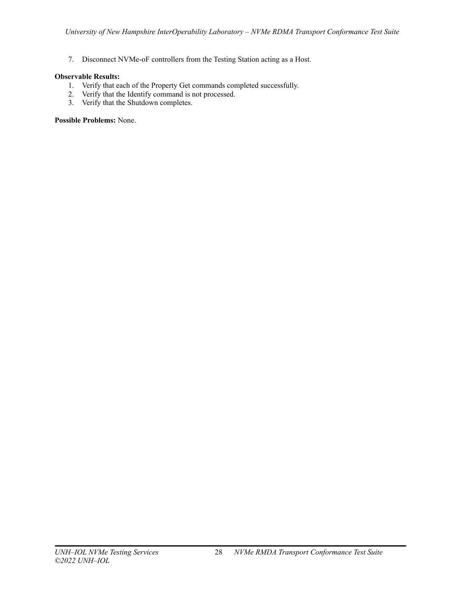7. Disconnect NVMe-oF controllers from the Testing Station acting as a Host.

## **Observable Results:**

- 1. Verify that each of the Property Get commands completed successfully.
- 2. Verify that the Identify command is not processed.
- 3. Verify that the Shutdown completes.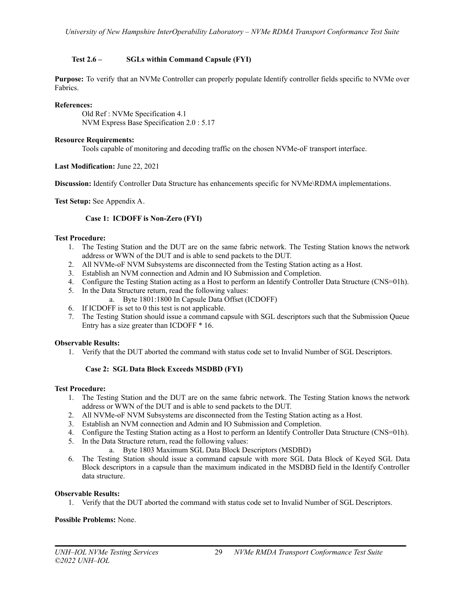## <span id="page-28-0"></span>**Test 2.6 – SGLs within Command Capsule (FYI)**

**Purpose:** To verify that an NVMe Controller can properly populate Identify controller fields specific to NVMe over Fabrics.

## **References:**

Old Ref : NVMe Specification 4.1 NVM Express Base Specification 2.0 : 5.17

## **Resource Requirements:**

Tools capable of monitoring and decoding traffic on the chosen NVMe-oF transport interface.

## **Last Modification:** June 22, 2021

**Discussion:** Identify Controller Data Structure has enhancements specific for NVMe\RDMA implementations.

<span id="page-28-1"></span>**Test Setup:** See Appendix A.

## **Case 1: ICDOFF is Non-Zero (FYI)**

## **Test Procedure:**

- 1. The Testing Station and the DUT are on the same fabric network. The Testing Station knows the network address or WWN of the DUT and is able to send packets to the DUT.
- 2. All NVMe-oF NVM Subsystems are disconnected from the Testing Station acting as a Host.
- 3. Establish an NVM connection and Admin and IO Submission and Completion.
- 4. Configure the Testing Station acting as a Host to perform an Identify Controller Data Structure (CNS=01h).
- 5. In the Data Structure return, read the following values:
	- a. Byte 1801:1800 In Capsule Data Offset (ICDOFF)
- 6. If ICDOFF is set to 0 this test is not applicable.
- 7. The Testing Station should issue a command capsule with SGL descriptors such that the Submission Queue Entry has a size greater than ICDOFF \* 16.

### **Observable Results:**

1. Verify that the DUT aborted the command with status code set to Invalid Number of SGL Descriptors.

## **Case 2: SGL Data Block Exceeds MSDBD (FYI)**

### <span id="page-28-2"></span>**Test Procedure:**

- 1. The Testing Station and the DUT are on the same fabric network. The Testing Station knows the network address or WWN of the DUT and is able to send packets to the DUT.
- 2. All NVMe-oF NVM Subsystems are disconnected from the Testing Station acting as a Host.
- 3. Establish an NVM connection and Admin and IO Submission and Completion.
- 4. Configure the Testing Station acting as a Host to perform an Identify Controller Data Structure (CNS=01h).
- 5. In the Data Structure return, read the following values:
	- a. Byte 1803 Maximum SGL Data Block Descriptors (MSDBD)
- 6. The Testing Station should issue a command capsule with more SGL Data Block of Keyed SGL Data Block descriptors in a capsule than the maximum indicated in the MSDBD field in the Identify Controller data structure.

### **Observable Results:**

1. Verify that the DUT aborted the command with status code set to Invalid Number of SGL Descriptors.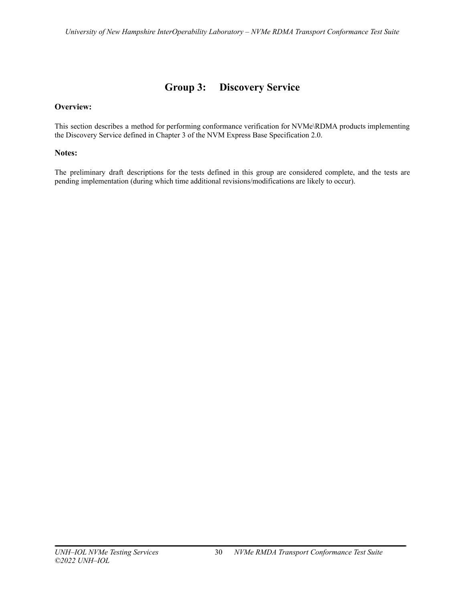# **Group 3: Discovery Service**

## <span id="page-29-0"></span>**Overview:**

This section describes a method for performing conformance verification for NVMe\RDMA products implementing the Discovery Service defined in Chapter 3 of the NVM Express Base Specification 2.0.

## **Notes:**

The preliminary draft descriptions for the tests defined in this group are considered complete, and the tests are pending implementation (during which time additional revisions/modifications are likely to occur).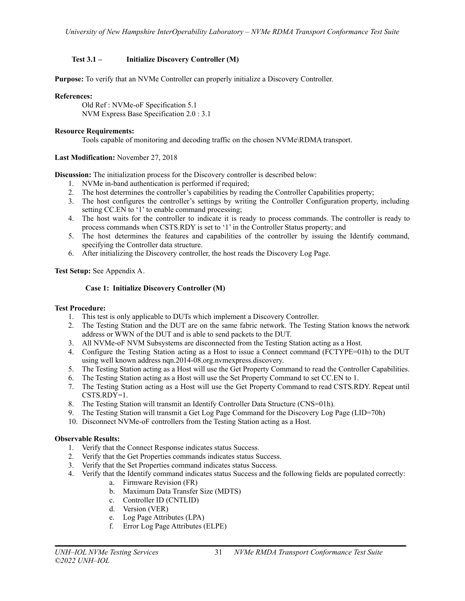## <span id="page-30-0"></span>**Test 3.1 – Initialize Discovery Controller (M)**

**Purpose:** To verify that an NVMe Controller can properly initialize a Discovery Controller.

## **References:**

Old Ref : NVMe-oF Specification 5.1 NVM Express Base Specification 2.0 : 3.1

## **Resource Requirements:**

Tools capable of monitoring and decoding traffic on the chosen NVMe\RDMA transport.

## **Last Modification:** November 27, 2018

**Discussion:** The initialization process for the Discovery controller is described below:

- 1. NVMe in-band authentication is performed if required;
- 2. The host determines the controller's capabilities by reading the Controller Capabilities property;
- 3. The host configures the controller's settings by writing the Controller Configuration property, including setting CC.EN to '1' to enable command processing;
- 4. The host waits for the controller to indicate it is ready to process commands. The controller is ready to process commands when CSTS.RDY is set to '1' in the Controller Status property; and
- 5. The host determines the features and capabilities of the controller by issuing the Identify command, specifying the Controller data structure.
- 6. After initializing the Discovery controller, the host reads the Discovery Log Page.

## <span id="page-30-1"></span>**Test Setup:** See Appendix A.

## **Case 1: Initialize Discovery Controller (M)**

### **Test Procedure:**

- 1. This test is only applicable to DUTs which implement a Discovery Controller.
- 2. The Testing Station and the DUT are on the same fabric network. The Testing Station knows the network address or WWN of the DUT and is able to send packets to the DUT.
- 3. All NVMe-oF NVM Subsystems are disconnected from the Testing Station acting as a Host.
- 4. Configure the Testing Station acting as a Host to issue a Connect command (FCTYPE=01h) to the DUT using well known address nqn.2014-08.org.nvmexpress.discovery.
- 5. The Testing Station acting as a Host will use the Get Property Command to read the Controller Capabilities.
- 6. The Testing Station acting as a Host will use the Set Property Command to set CC.EN to 1.
- 7. The Testing Station acting as a Host will use the Get Property Command to read CSTS.RDY. Repeat until CSTS.RDY=1.
- 8. The Testing Station will transmit an Identify Controller Data Structure (CNS=01h).
- 9. The Testing Station will transmit a Get Log Page Command for the Discovery Log Page (LID=70h)
- 10. Disconnect NVMe-oF controllers from the Testing Station acting as a Host.

### **Observable Results:**

- 1. Verify that the Connect Response indicates status Success.
- 2. Verify that the Get Properties commands indicates status Success.
- 3. Verify that the Set Properties command indicates status Success.
- 4. Verify that the Identify command indicates status Success and the following fields are populated correctly:
	- a. Firmware Revision (FR)
	- b. Maximum Data Transfer Size (MDTS)
	- c. Controller ID (CNTLID)
	- d. Version (VER)
	- e. Log Page Attributes (LPA)
	- f. Error Log Page Attributes (ELPE)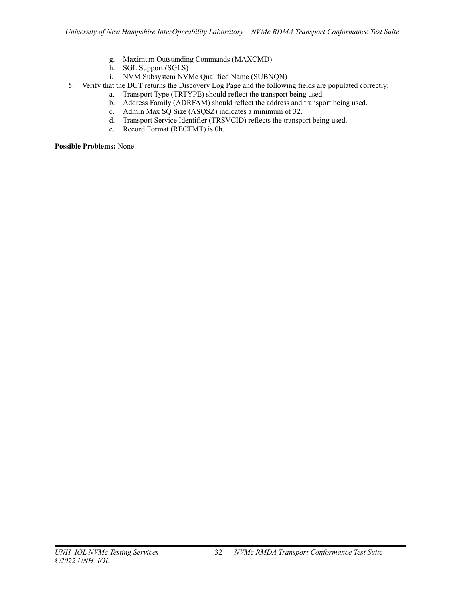- g. Maximum Outstanding Commands (MAXCMD)
- h. SGL Support (SGLS)
- i. NVM Subsystem NVMe Qualified Name (SUBNQN)
- 5. Verify that the DUT returns the Discovery Log Page and the following fields are populated correctly:
	- a. Transport Type (TRTYPE) should reflect the transport being used.
		- b. Address Family (ADRFAM) should reflect the address and transport being used.
		- c. Admin Max SQ Size (ASQSZ) indicates a minimum of 32.
		- d. Transport Service Identifier (TRSVCID) reflects the transport being used.
		- e. Record Format (RECFMT) is 0h.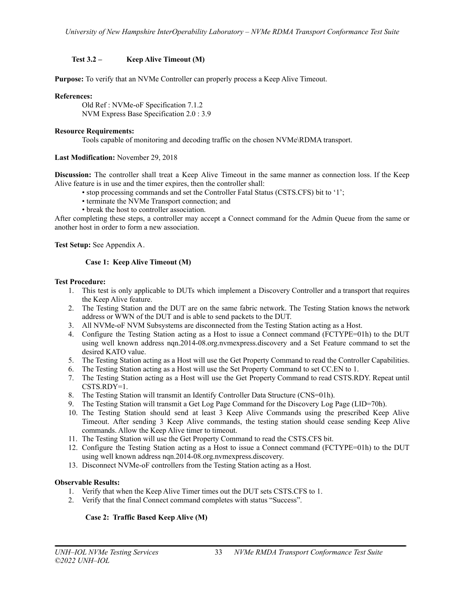## <span id="page-32-0"></span>**Test 3.2 – Keep Alive Timeout (M)**

**Purpose:** To verify that an NVMe Controller can properly process a Keep Alive Timeout.

## **References:**

Old Ref : NVMe-oF Specification 7.1.2 NVM Express Base Specification 2.0 : 3.9

## **Resource Requirements:**

Tools capable of monitoring and decoding traffic on the chosen NVMe\RDMA transport.

## **Last Modification:** November 29, 2018

**Discussion:** The controller shall treat a Keep Alive Timeout in the same manner as connection loss. If the Keep Alive feature is in use and the timer expires, then the controller shall:

- stop processing commands and set the Controller Fatal Status (CSTS.CFS) bit to '1';
- terminate the NVMe Transport connection; and
- break the host to controller association.

After completing these steps, a controller may accept a Connect command for the Admin Queue from the same or another host in order to form a new association.

<span id="page-32-1"></span>**Test Setup:** See Appendix A.

## **Case 1: Keep Alive Timeout (M)**

### **Test Procedure:**

- 1. This test is only applicable to DUTs which implement a Discovery Controller and a transport that requires the Keep Alive feature.
- 2. The Testing Station and the DUT are on the same fabric network. The Testing Station knows the network address or WWN of the DUT and is able to send packets to the DUT.
- 3. All NVMe-oF NVM Subsystems are disconnected from the Testing Station acting as a Host.
- 4. Configure the Testing Station acting as a Host to issue a Connect command (FCTYPE=01h) to the DUT using well known address nqn.2014-08.org.nvmexpress.discovery and a Set Feature command to set the desired KATO value.
- 5. The Testing Station acting as a Host will use the Get Property Command to read the Controller Capabilities.
- 6. The Testing Station acting as a Host will use the Set Property Command to set CC.EN to 1.
- 7. The Testing Station acting as a Host will use the Get Property Command to read CSTS.RDY. Repeat until CSTS.RDY=1.
- 8. The Testing Station will transmit an Identify Controller Data Structure (CNS=01h).
- 9. The Testing Station will transmit a Get Log Page Command for the Discovery Log Page (LID=70h).
- 10. The Testing Station should send at least 3 Keep Alive Commands using the prescribed Keep Alive Timeout. After sending 3 Keep Alive commands, the testing station should cease sending Keep Alive commands. Allow the Keep Alive timer to timeout.
- 11. The Testing Station will use the Get Property Command to read the CSTS.CFS bit.
- 12. Configure the Testing Station acting as a Host to issue a Connect command (FCTYPE=01h) to the DUT using well known address nqn.2014-08.org.nvmexpress.discovery.
- 13. Disconnect NVMe-oF controllers from the Testing Station acting as a Host.

## **Observable Results:**

- 1. Verify that when the Keep Alive Timer times out the DUT sets CSTS.CFS to 1.
- <span id="page-32-2"></span>2. Verify that the final Connect command completes with status "Success".

## **Case 2: Traffic Based Keep Alive (M)**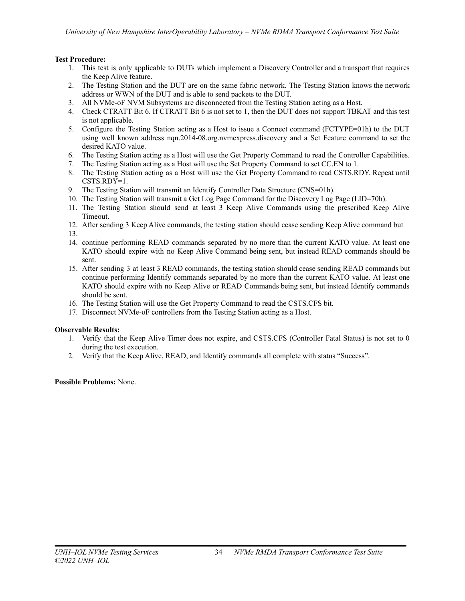## **Test Procedure:**

- 1. This test is only applicable to DUTs which implement a Discovery Controller and a transport that requires the Keep Alive feature.
- 2. The Testing Station and the DUT are on the same fabric network. The Testing Station knows the network address or WWN of the DUT and is able to send packets to the DUT.
- 3. All NVMe-oF NVM Subsystems are disconnected from the Testing Station acting as a Host.
- 4. Check CTRATT Bit 6. If CTRATT Bit 6 is not set to 1, then the DUT does not support TBKAT and this test is not applicable.
- 5. Configure the Testing Station acting as a Host to issue a Connect command (FCTYPE=01h) to the DUT using well known address nqn.2014-08.org.nvmexpress.discovery and a Set Feature command to set the desired KATO value.
- 6. The Testing Station acting as a Host will use the Get Property Command to read the Controller Capabilities.
- 7. The Testing Station acting as a Host will use the Set Property Command to set CC.EN to 1.
- 8. The Testing Station acting as a Host will use the Get Property Command to read CSTS.RDY. Repeat until CSTS.RDY=1.
- 9. The Testing Station will transmit an Identify Controller Data Structure (CNS=01h).
- 10. The Testing Station will transmit a Get Log Page Command for the Discovery Log Page (LID=70h).
- 11. The Testing Station should send at least 3 Keep Alive Commands using the prescribed Keep Alive Timeout.
- 12. After sending 3 Keep Alive commands, the testing station should cease sending Keep Alive command but 13.
- 14. continue performing READ commands separated by no more than the current KATO value. At least one KATO should expire with no Keep Alive Command being sent, but instead READ commands should be sent.
- 15. After sending 3 at least 3 READ commands, the testing station should cease sending READ commands but continue performing Identify commands separated by no more than the current KATO value. At least one KATO should expire with no Keep Alive or READ Commands being sent, but instead Identify commands should be sent.
- 16. The Testing Station will use the Get Property Command to read the CSTS.CFS bit.
- 17. Disconnect NVMe-oF controllers from the Testing Station acting as a Host.

### **Observable Results:**

- 1. Verify that the Keep Alive Timer does not expire, and CSTS.CFS (Controller Fatal Status) is not set to 0 during the test execution.
- 2. Verify that the Keep Alive, READ, and Identify commands all complete with status "Success".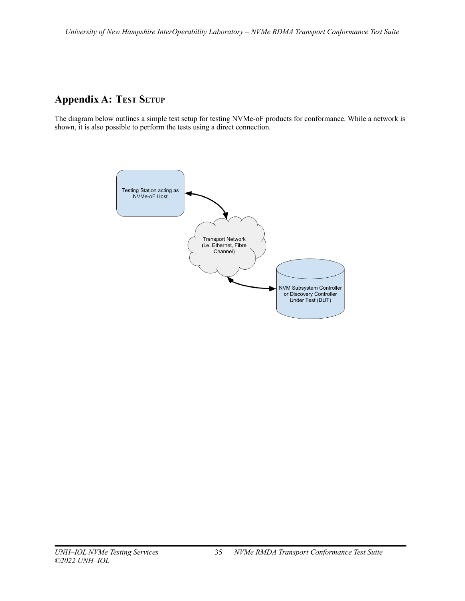# <span id="page-34-0"></span>**Appendix A: TEST SETUP**

The diagram below outlines a simple test setup for testing NVMe-oF products for conformance. While a network is shown, it is also possible to perform the tests using a direct connection.

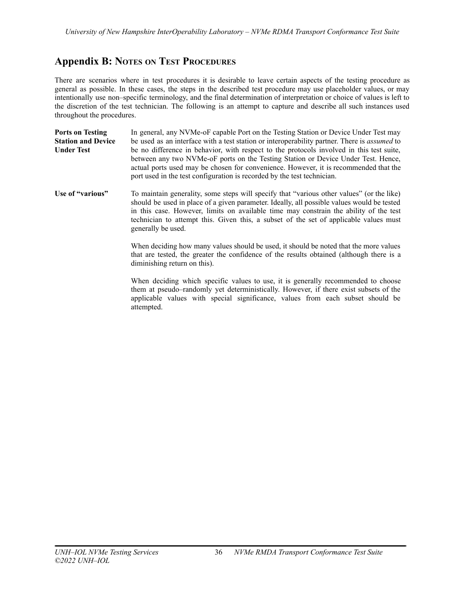# <span id="page-35-0"></span>**Appendix B: NOTES ON TEST PROCEDURES**

There are scenarios where in test procedures it is desirable to leave certain aspects of the testing procedure as general as possible. In these cases, the steps in the described test procedure may use placeholder values, or may intentionally use non–specific terminology, and the final determination of interpretation or choice of values is left to the discretion of the test technician. The following is an attempt to capture and describe all such instances used throughout the procedures.

| <b>Ports on Testing</b>   | In general, any NVMe-oF capable Port on the Testing Station or Device Under Test may                                                                                                                                                                                                                                                             |
|---------------------------|--------------------------------------------------------------------------------------------------------------------------------------------------------------------------------------------------------------------------------------------------------------------------------------------------------------------------------------------------|
| <b>Station and Device</b> | be used as an interface with a test station or interoperability partner. There is <i>assumed</i> to                                                                                                                                                                                                                                              |
| <b>Under Test</b>         | be no difference in behavior, with respect to the protocols involved in this test suite,<br>between any two NVMe-oF ports on the Testing Station or Device Under Test. Hence,<br>actual ports used may be chosen for convenience. However, it is recommended that the<br>port used in the test configuration is recorded by the test technician. |

**Use of "various"** To maintain generality, some steps will specify that "various other values" (or the like) should be used in place of a given parameter. Ideally, all possible values would be tested in this case. However, limits on available time may constrain the ability of the test technician to attempt this. Given this, a subset of the set of applicable values must generally be used.

> When deciding how many values should be used, it should be noted that the more values that are tested, the greater the confidence of the results obtained (although there is a diminishing return on this).

> When deciding which specific values to use, it is generally recommended to choose them at pseudo–randomly yet deterministically. However, if there exist subsets of the applicable values with special significance, values from each subset should be attempted.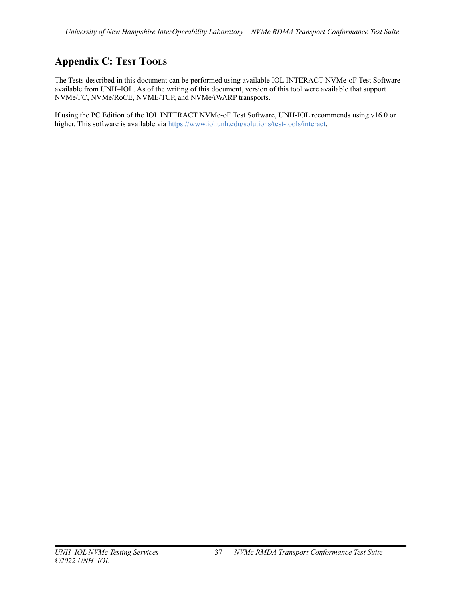# <span id="page-36-0"></span>**Appendix C: TEST TOOLS**

The Tests described in this document can be performed using available IOL INTERACT NVMe-oF Test Software available from UNH–IOL. As of the writing of this document, version of this tool were available that support NVMe/FC, NVMe/RoCE, NVME/TCP, and NVMe/iWARP transports.

If using the PC Edition of the IOL INTERACT NVMe-oF Test Software, UNH-IOL recommends using v16.0 or higher. This software is available via [https://www.iol.unh.edu/solutions/test-tools/interact.](https://www.iol.unh.edu/solutions/test-tools/interact)